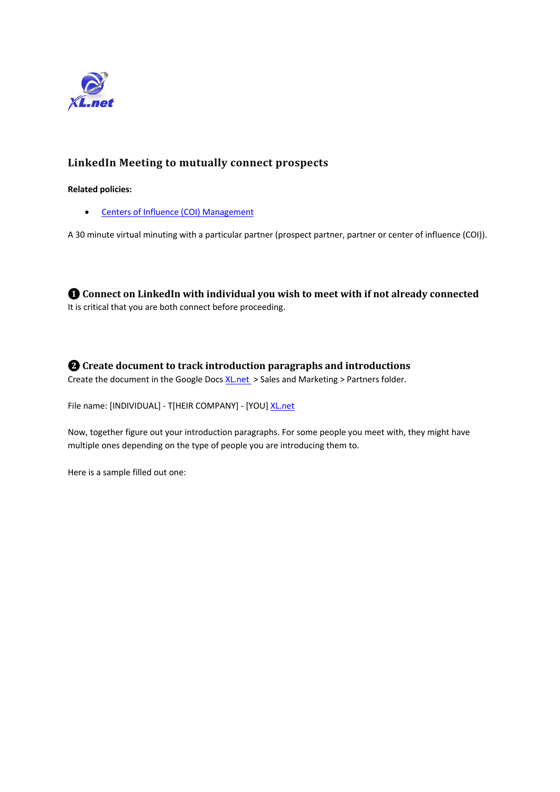

## **LinkedIn Meeting to mutually connect prospects**

#### **Related policies:**

• Centers of Influence (COI) Management

A 30 minute virtual minuting with a particular partner (prospect partner, partner or center of influence (COI)).

 $\bullet$  Connect on LinkedIn with individual you wish to meet with if not already connected It is critical that you are both connect before proceeding.

 $\bullet$  Create document to track introduction paragraphs and introductions

Create the document in the Google Docs XL.net > Sales and Marketing > Partners folder.

File name: [INDIVIDUAL] - T[HEIR COMPANY] - [YOU] XL.net

Now, together figure out your introduction paragraphs. For some people you meet with, they might have multiple ones depending on the type of people you are introducing them to.

Here is a sample filled out one: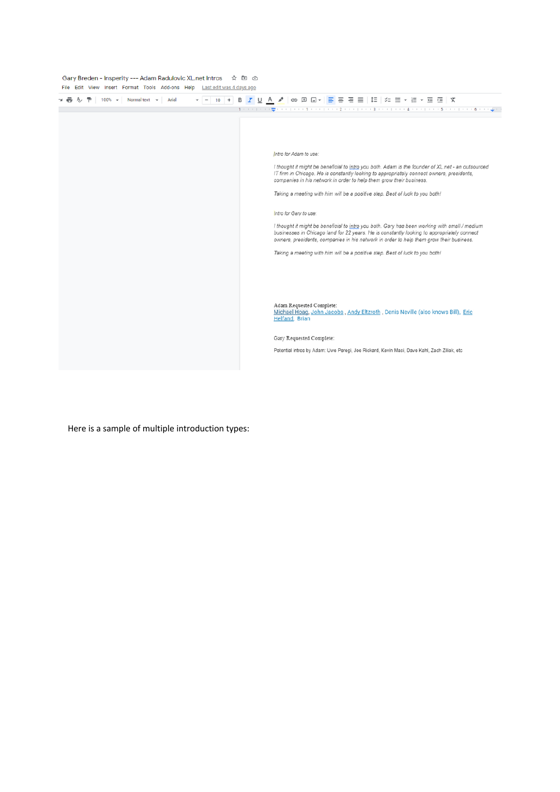Gary Breden - Insperity --- Adam Radulovic XL.net Intros  $\dot{\mathbb{R}} \boxtimes \mathbb{C}$ File Edit View Insert Format Tools Add-ons Help Lastedit was 4 days ago

| Normal text -<br>Arial<br>100% | ∞ 핀 □▼ <mark>드</mark> 든 큰 듣 │ 年 │ ☆ ㅌ ▼ ㅌ ▼ ㅌ 뎓 │ X                                                                                                                                                                                                                                                                                                                                                                                                                                                                                                                                                                                                                                                                                                                                 |
|--------------------------------|-------------------------------------------------------------------------------------------------------------------------------------------------------------------------------------------------------------------------------------------------------------------------------------------------------------------------------------------------------------------------------------------------------------------------------------------------------------------------------------------------------------------------------------------------------------------------------------------------------------------------------------------------------------------------------------------------------------------------------------------------------------------------------------|
|                                | Intro for Adam to use:<br>I thought it might be beneficial to intro you both. Adam is the founder of XL.net - an outsourced<br>IT firm in Chicago. He is constantly looking to appropriately connect owners, presidents,<br>companies in his network in order to help them grow their business.<br>Taking a meeting with him will be a positive step. Best of luck to you both!<br>Intro for Gary to use:<br>I thought it might be beneficial to intro you both. Gary has been working with small / medium<br>businesses in Chicago land for 22 years. He is constantly looking to appropriately connect<br>owners, presidents, companies in his network in order to help them grow their business.<br>Taking a meeting with him will be a positive step. Best of luck to you both! |
|                                | Adam Requested Complete:<br>Michael Hoag, John Jacobs, Andy Eltzroth, Denis Neville (also knows Bill), Eric<br>Helfand, Brian                                                                                                                                                                                                                                                                                                                                                                                                                                                                                                                                                                                                                                                       |
|                                | Gary Requested Complete:<br>Potential intros by Adam: Uwe Peregi, Joe Rickard, Kevin Masi, Dave Kahl, Zach Ziliak, etc                                                                                                                                                                                                                                                                                                                                                                                                                                                                                                                                                                                                                                                              |

Here is a sample of multiple introduction types: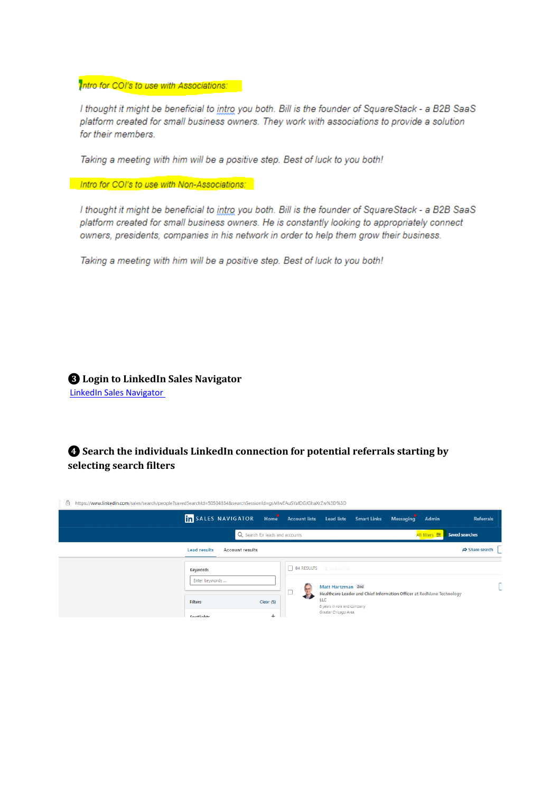Intro for COI's to use with Associations:

I thought it might be beneficial to intro you both. Bill is the founder of SquareStack - a B2B SaaS platform created for small business owners. They work with associations to provide a solution for their members.

Taking a meeting with him will be a positive step. Best of luck to you both!

Intro for COI's to use with Non-Associations:

I thought it might be beneficial to intro you both. Bill is the founder of SquareStack - a B2B SaaS platform created for small business owners. He is constantly looking to appropriately connect owners, presidents, companies in his network in order to help them grow their business.

Taking a meeting with him will be a positive step. Best of luck to you both!

**8** Login to LinkedIn Sales Navigator **LinkedIn Sales Navigator** 

**A** Search the individuals LinkedIn connection for potential referrals starting by selecting search filters

https://www.linkedin.com/sales/search/people?savedSearchId=50504834&searchSessionId=gsMIwEAuSYafDGJGhaXrZw%3D%3D

|                            | in SALES NAVIGATOR Home Account lists Lead lists Smart Links |                                 |                                                            |  | <b>Messaging</b>                                                      | Admin         | <b>Referrals</b>               |
|----------------------------|--------------------------------------------------------------|---------------------------------|------------------------------------------------------------|--|-----------------------------------------------------------------------|---------------|--------------------------------|
|                            |                                                              | Q Search for leads and accounts |                                                            |  |                                                                       | All filters 三 | <b>Saved searches</b>          |
| <b>Lead results</b>        | Account results                                              |                                 |                                                            |  |                                                                       |               | $\Leftrightarrow$ Share search |
| Keywords<br>Enter keywords |                                                              |                                 | 84 RESULTS <b>Example 184</b> RESULTS<br>Matt Hartzman 2nd |  |                                                                       |               |                                |
| <b>Filters</b>             |                                                              | Clear (5)                       | LLC<br>8 years in role and company                         |  | Healthcare Leader and Chief Information Officer at RedMane Technology |               |                                |
| <b>Spotlights</b>          |                                                              | ÷                               | Greater Chicago Area                                       |  |                                                                       |               |                                |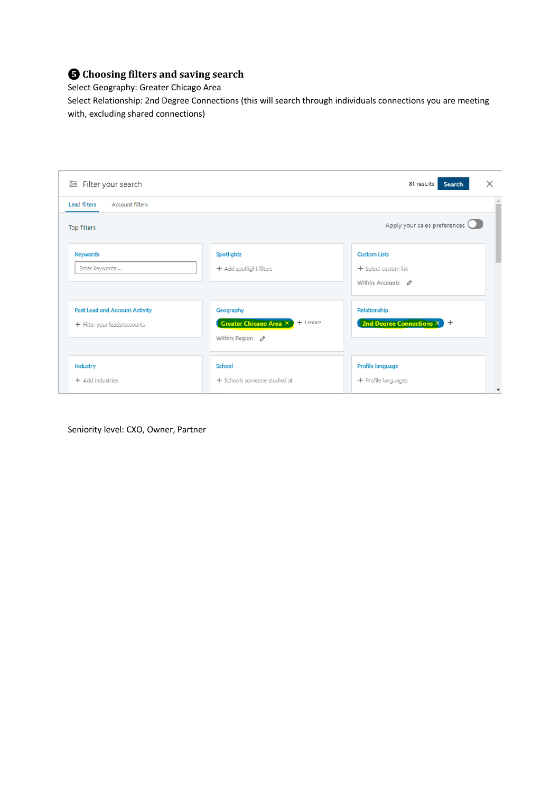# $\bigodot$  Choosing filters and saving search

Select Geography: Greater Chicago Area

Select Relationship: 2nd Degree Connections (this will search through individuals connections you are meeting with, excluding shared connections)

| ● Filter your search                          |                                                              | ×<br>81 results<br>Search           |
|-----------------------------------------------|--------------------------------------------------------------|-------------------------------------|
| <b>Lead filters</b><br><b>Account filters</b> |                                                              |                                     |
| Top filters                                   |                                                              | Apply your sales preferences        |
| <b>Keywords</b>                               | <b>Spotlights</b>                                            | <b>Custom Lists</b>                 |
| Enter keywords                                | + Add spotlight filters                                      | + Select custom list                |
|                                               |                                                              | Within: Accounts $\rho$             |
| <b>Past Lead and Account Activity</b>         | Geography                                                    | Relationship                        |
| + Filter your leads/accounts                  | $+1$ more<br><b>Greater Chicago Area <math>\times</math></b> | 2nd Degree Connections X 2          |
|                                               | Within: Region $\rho$                                        |                                     |
| Industry                                      | <b>School</b>                                                | Profile language                    |
| + Add industries                              | + Schools someone studied at                                 | + Profile languages<br>$\checkmark$ |

Seniority level: CXO, Owner, Partner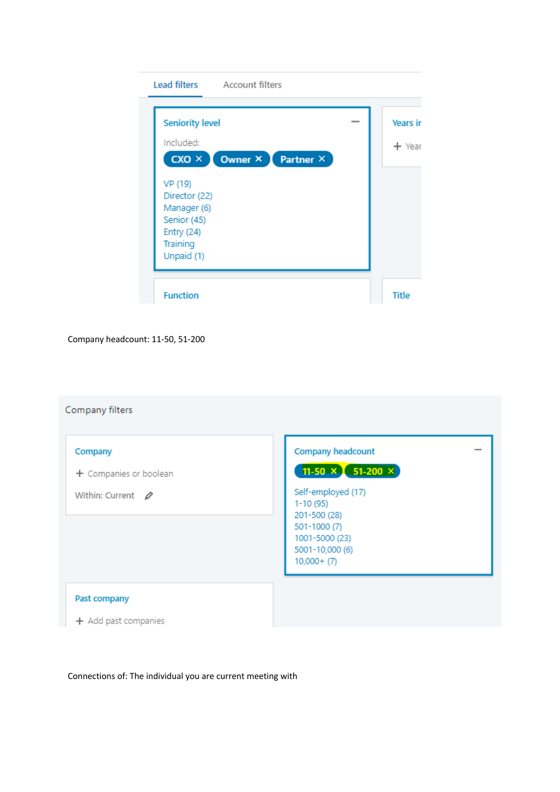|                               | <b>Seniority level</b> | <b>Years</b> in |
|-------------------------------|------------------------|-----------------|
| Included:                     |                        | ← Year          |
| $cxo \times 1$                | Owner ×<br>Partner ×   |                 |
| VP (19)                       |                        |                 |
| Director (22)                 |                        |                 |
| Manager (6)                   |                        |                 |
| Senior (45)                   |                        |                 |
|                               |                        |                 |
| <b>Entry (24)</b><br>Training |                        |                 |

Company headcount: 11-50, 51-200

# Company filters

| Company<br>+ Companies or boolean<br>Within: Current $\oslash$ | Company headcount<br>11-50 $\times$ 51-200 $\times$<br>Self-employed (17)<br>$1-10(95)$<br>201-500 (28)<br>501-1000 (7)<br>1001-5000 (23)<br>5001-10,000 (6)<br>$10,000+ (7)$ |
|----------------------------------------------------------------|-------------------------------------------------------------------------------------------------------------------------------------------------------------------------------|
| Past company<br>+ Add past companies                           |                                                                                                                                                                               |

Connections of: The individual you are current meeting with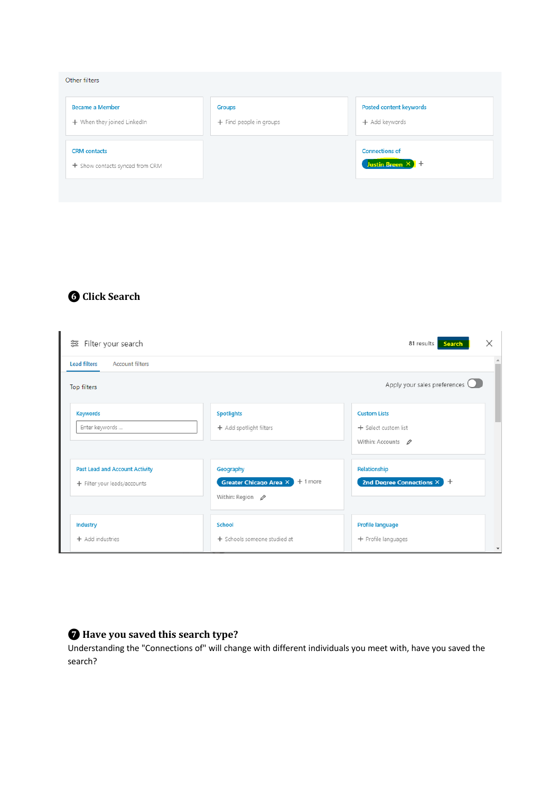| Other filters                                          |                                          |                                           |
|--------------------------------------------------------|------------------------------------------|-------------------------------------------|
| <b>Became a Member</b><br>+ When they joined LinkedIn  | <b>Groups</b><br>+ Find people in groups | Posted content keywords<br>+ Add keywords |
| <b>CRM</b> contacts<br>+ Show contacts synced from CRM |                                          | <b>Connections of</b><br>Justin Breen X + |

# **❻ Click Search**

| 증 Filter your search                          |                                            | X<br>81 results<br><b>Search</b>    |
|-----------------------------------------------|--------------------------------------------|-------------------------------------|
| <b>Account filters</b><br><b>Lead filters</b> |                                            |                                     |
| Top filters                                   |                                            | Apply your sales preferences Q      |
| <b>Keywords</b>                               | <b>Spotlights</b>                          | <b>Custom Lists</b>                 |
| Enter keywords                                | + Add spotlight filters                    | + Select custom list                |
|                                               |                                            | Within: Accounts $\varnothing$      |
| Past Lead and Account Activity                | Geography                                  | Relationship                        |
| + Filter your leads/accounts                  | $+1$ more<br><b>Greater Chicago Area X</b> | 2nd Degree Connections $\times$ $+$ |
|                                               | Within: Region $\rho$                      |                                     |
| Industry                                      | School                                     | Profile language                    |
| + Add industries                              | + Schools someone studied at               | + Profile languages                 |

# $\bullet$  Have you saved this search type?

Understanding the "Connections of" will change with different individuals you meet with, have you saved the search?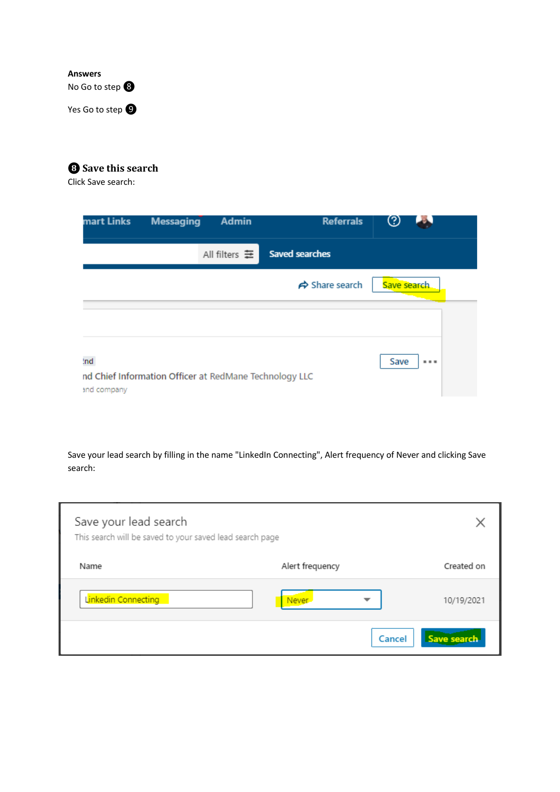### **Answers** No Go to step <sup>8</sup>

Yes Go to step  $\bullet$ 

# **<sup><b>**</sup> Save this search

Click Save search:

| mart Links         | <b>Messaging</b>                                       | <b>Admin</b>  | <b>Referrals</b>               |             |  |
|--------------------|--------------------------------------------------------|---------------|--------------------------------|-------------|--|
|                    |                                                        | All filters 章 | <b>Saved searches</b>          |             |  |
|                    |                                                        |               | $\Leftrightarrow$ Share search | Save search |  |
|                    |                                                        |               |                                |             |  |
| 'nd<br>and company | nd Chief Information Officer at RedMane Technology LLC |               |                                | Save<br>    |  |

Save your lead search by filling in the name "LinkedIn Connecting", Alert frequency of Never and clicking Save search:

| Save your lead search<br>This search will be saved to your saved lead search page |                         |             |
|-----------------------------------------------------------------------------------|-------------------------|-------------|
| Name                                                                              | Alert frequency         | Created on  |
| Linkedin Connecting                                                               | Never <sub>-</sub><br>᠊ | 10/19/2021  |
|                                                                                   | Cancel                  | Save search |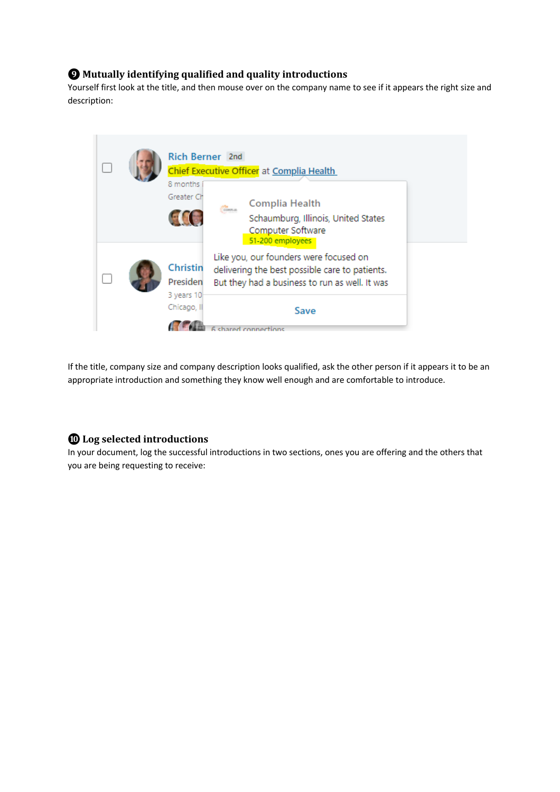## $\bullet$  Mutually identifying qualified and quality introductions

Yourself first look at the title, and then mouse over on the company name to see if it appears the right size and description:



If the title, company size and company description looks qualified, ask the other person if it appears it to be an appropriate introduction and something they know well enough and are comfortable to introduce.

#### **❿ Log selected introductions**

In your document, log the successful introductions in two sections, ones you are offering and the others that you are being requesting to receive: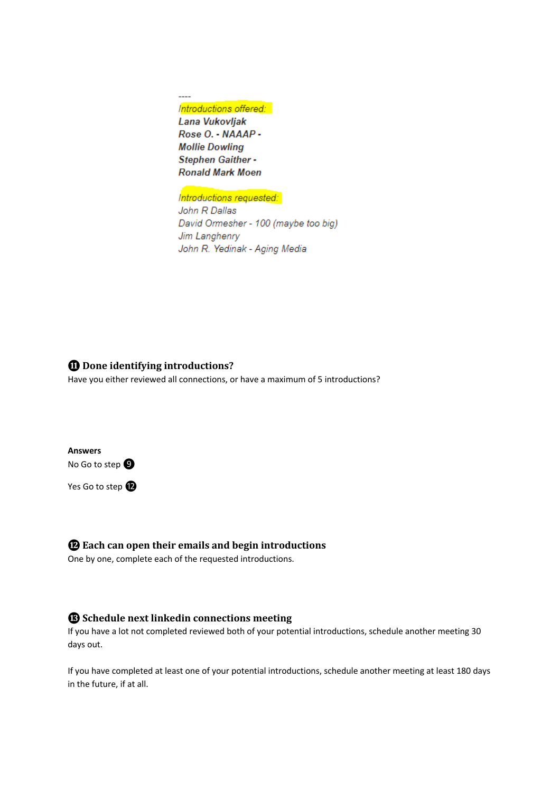Introductions offered: Lana Vukovljak Rose O. - NAAAP -**Mollie Dowling** Stephen Gaither -**Ronald Mark Moen** 

 $\overline{a}$ 

#### Introductions requested:

John R Dallas David Ormesher - 100 (maybe too big) Jim Langhenry John R. Yedinak - Aging Media

#### **<sup>***n***</sup>** Done identifying introductions?

Have you either reviewed all connections, or have a maximum of 5 introductions?

**Answers** No Go to step  $\bullet$ 

Yes Go to step  $\bullet$ 

#### $\Phi$  **Each can open their emails and begin introductions**

One by one, complete each of the requested introductions.

### **<sup>6</sup>** Schedule next linkedin connections meeting

If you have a lot not completed reviewed both of your potential introductions, schedule another meeting 30 days out.

If you have completed at least one of your potential introductions, schedule another meeting at least 180 days in the future, if at all.